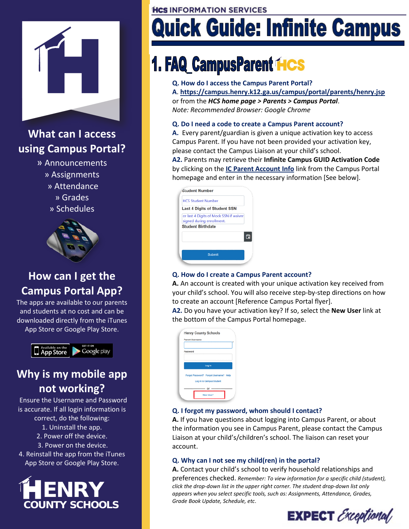

## **What can I access using Campus Portal?**

» Announcements » Assignments » Attendance » Grades » Schedules



## **How can I get the Campus Portal App?**

The apps are available to our parents and students at no cost and can be downloaded directly from the iTunes App Store or Google Play Store.



## **Why is my mobile app not working?**

Ensure the Username and Password is accurate. If all login information is correct, do the following: 1. Uninstall the app. 2. Power off the device. 3. Power on the device.

4. Reinstall the app from the iTunes App Store or Google Play Store.



HCS INFORMATION SERVICES

# uick Guide: Infinite Campus

## **1. FAQ\_CampusParent HCS**

## **Q. How do I access the Campus Parent Portal?**

**A**. **<https://campus.henry.k12.ga.us/campus/portal/parents/henry.jsp>** or from the *HCS home page > Parents > Campus Portal*. *Note: Recommended Browser: Google Chrome*

#### **Q. Do I need a code to create a Campus Parent account?**

**A.** Every parent/guardian is given a unique activation key to access Campus Parent. If you have not been provided your activation key, please contact the Campus Liaison at your child's school.

**A2.** Parents may retrieve their **Infinite Campus GUID Activation Code** by clicking on the **[IC Parent Account Info](https://campus.henry.k12.ga.us/campus/K12_Custom/cParent/index.jsp?appName=henry)** link from the Campus Portal homepage and enter in the necessary information [See below].

| <b>HCS Student Number</b><br><b>Last 4 Digits of Student SSN</b><br>or last 4 Digits of Mock SSN if waiver<br>signed during enrollment. | <b>Student Number</b> |  |
|-----------------------------------------------------------------------------------------------------------------------------------------|-----------------------|--|
|                                                                                                                                         |                       |  |
| <b>Student Birthdate</b>                                                                                                                |                       |  |
|                                                                                                                                         |                       |  |
|                                                                                                                                         |                       |  |
|                                                                                                                                         | Submit                |  |

### **Q. How do I create a Campus Parent account?**

to create an account [Reference Campus Portal flyer].<br>Campus Reference Campus Portal flyer]. **A.** An account is created with your unique activation key received from your child's school. You will also receive step-by-step directions on how

**A2.** Do you have your activation key? If so, select the **New User** link at the bottom of the Campus Portal homepage.

| <b>Parent Username</b> |                                        |
|------------------------|----------------------------------------|
|                        |                                        |
| Password               |                                        |
|                        |                                        |
|                        | Log In                                 |
|                        |                                        |
|                        | Forgot Password? Forgot Username? Help |
|                        | Log in to Campus Student               |
|                        |                                        |
|                        | ۵r                                     |
|                        | New User?                              |

### **Q. I forgot my password, whom should I contact?**

**A.** If you have questions about logging into Campus Parent, or about the information you see in Campus Parent, please contact the Campus Liaison at your child's/children's school. The liaison can reset your account.

### **Q. Why can I not see my child(ren) in the portal?**

**A.** Contact your child's school to verify household relationships and preferences checked. *Remember: To view information for a specific child (student), click the drop-down list in the upper right corner. The student drop-down list only appears when you select specific tools, such as: Assignments, Attendance, Grades, Grade Book Update, Schedule, etc*.